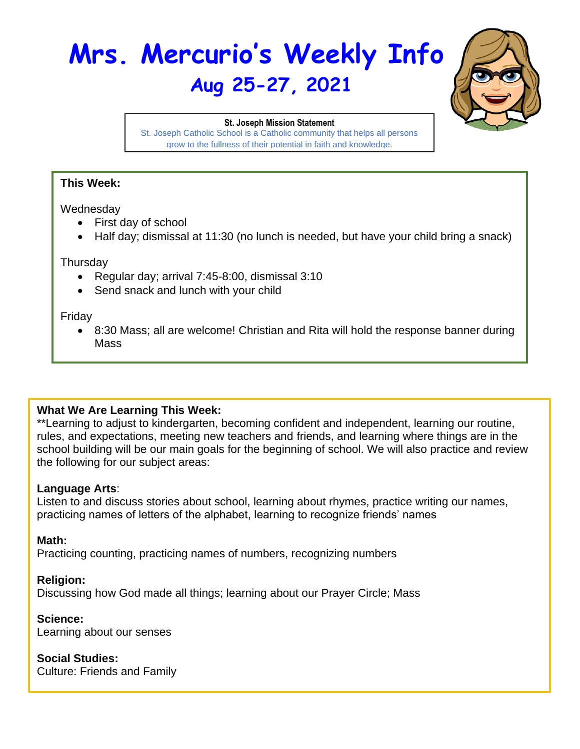# **Mrs. Mercurio's Weekly Info Aug 25-27, 2021**



#### **St. Joseph Mission Statement**

St. Joseph Catholic School is a Catholic community that helps all persons grow to the fullness of their potential in faith and knowledge.

### **This Week:**

#### **Wednesdav**

- First day of school
- Half day; dismissal at 11:30 (no lunch is needed, but have your child bring a snack)

#### **Thursday**

- Regular day; arrival 7:45-8:00, dismissal 3:10
- Send snack and lunch with your child

#### Friday

• 8:30 Mass; all are welcome! Christian and Rita will hold the response banner during Mass

# **What We Are Learning This Week:**

\*\*Learning to adjust to kindergarten, becoming confident and independent, learning our routine, rules, and expectations, meeting new teachers and friends, and learning where things are in the school building will be our main goals for the beginning of school. We will also practice and review the following for our subject areas:

### **Language Arts**:

Listen to and discuss stories about school, learning about rhymes, practice writing our names, practicing names of letters of the alphabet, learning to recognize friends' names

### **Math:**

Practicing counting, practicing names of numbers, recognizing numbers

### **Religion:**

Discussing how God made all things; learning about our Prayer Circle; Mass

### **Science:**

Learning about our senses

### **Social Studies:**

Culture: Friends and Family